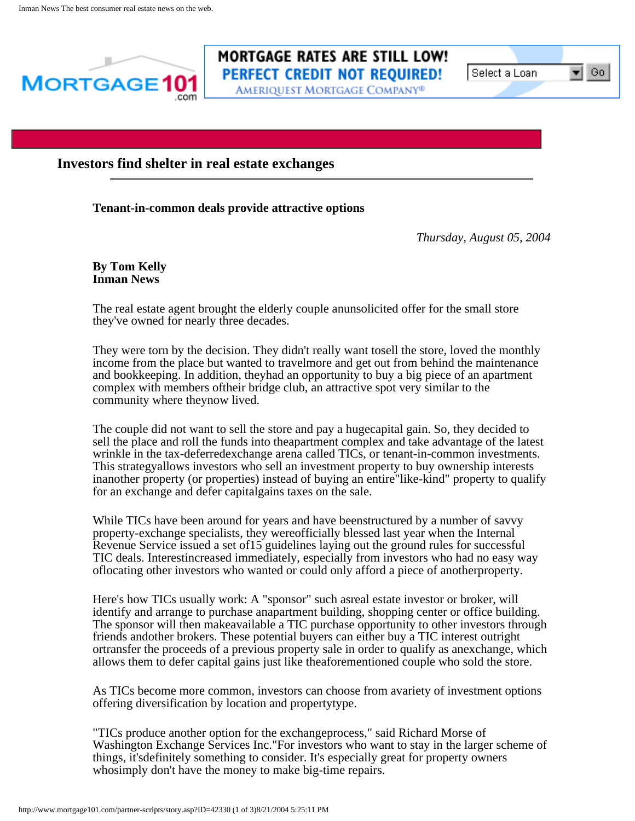

# **MORTGAGE RATES ARE STILL LOW! PERFECT CREDIT NOT REQUIRED!**

Ameriquest Mortgage Company®

l Select a Loan-

Go.

## **Investors find shelter in real estate exchanges**

### **Tenant-in-common deals provide attractive options**

*Thursday, August 05, 2004*

**By Tom Kelly Inman News**

The real estate agent brought the elderly couple anunsolicited offer for the small store they've owned for nearly three decades.

They were torn by the decision. They didn't really want tosell the store, loved the monthly income from the place but wanted to travelmore and get out from behind the maintenance and bookkeeping. In addition, theyhad an opportunity to buy a big piece of an apartment complex with members oftheir bridge club, an attractive spot very similar to the community where theynow lived.

The couple did not want to sell the store and pay a hugecapital gain. So, they decided to sell the place and roll the funds into theapartment complex and take advantage of the latest wrinkle in the tax-deferredexchange arena called TICs, or tenant-in-common investments. This strategyallows investors who sell an investment property to buy ownership interests inanother property (or properties) instead of buying an entire"like-kind" property to qualify for an exchange and defer capitalgains taxes on the sale.

While TICs have been around for years and have beenstructured by a number of savvy property-exchange specialists, they wereofficially blessed last year when the Internal Revenue Service issued a set of15 guidelines laying out the ground rules for successful TIC deals. Interestincreased immediately, especially from investors who had no easy way oflocating other investors who wanted or could only afford a piece of anotherproperty.

Here's how TICs usually work: A "sponsor" such asreal estate investor or broker, will identify and arrange to purchase anapartment building, shopping center or office building. The sponsor will then makeavailable a TIC purchase opportunity to other investors through friends andother brokers. These potential buyers can either buy a TIC interest outright ortransfer the proceeds of a previous property sale in order to qualify as anexchange, which allows them to defer capital gains just like theaforementioned couple who sold the store.

As TICs become more common, investors can choose from avariety of investment options offering diversification by location and propertytype.

"TICs produce another option for the exchangeprocess," said Richard Morse of Washington Exchange Services Inc."For investors who want to stay in the larger scheme of things, it'sdefinitely something to consider. It's especially great for property owners whosimply don't have the money to make big-time repairs.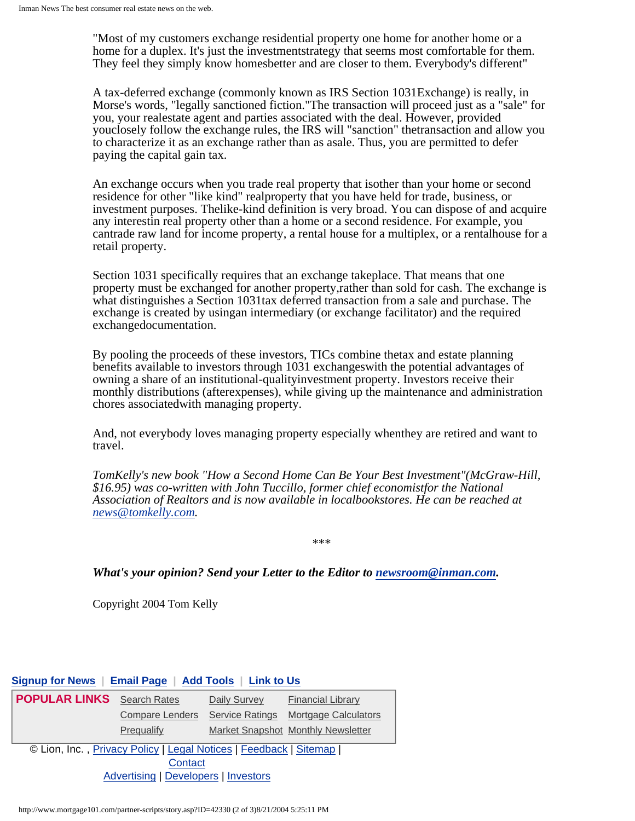"Most of my customers exchange residential property one home for another home or a home for a duplex. It's just the investmentstrategy that seems most comfortable for them. They feel they simply know homesbetter and are closer to them. Everybody's different"

A tax-deferred exchange (commonly known as IRS Section 1031Exchange) is really, in Morse's words, "legally sanctioned fiction."The transaction will proceed just as a "sale" for you, your realestate agent and parties associated with the deal. However, provided youclosely follow the exchange rules, the IRS will "sanction" thetransaction and allow you to characterize it as an exchange rather than as asale. Thus, you are permitted to defer paying the capital gain tax.

An exchange occurs when you trade real property that isother than your home or second residence for other "like kind" realproperty that you have held for trade, business, or investment purposes. Thelike-kind definition is very broad. You can dispose of and acquire any interestin real property other than a home or a second residence. For example, you cantrade raw land for income property, a rental house for a multiplex, or a rentalhouse for a retail property.

Section 1031 specifically requires that an exchange takeplace. That means that one property must be exchanged for another property,rather than sold for cash. The exchange is what distinguishes a Section 1031tax deferred transaction from a sale and purchase. The exchange is created by usingan intermediary (or exchange facilitator) and the required exchangedocumentation.

By pooling the proceeds of these investors, TICs combine thetax and estate planning benefits available to investors through 1031 exchangeswith the potential advantages of owning a share of an institutional-qualityinvestment property. Investors receive their monthly distributions (afterexpenses), while giving up the maintenance and administration chores associatedwith managing property.

And, not everybody loves managing property especially whenthey are retired and want to travel.

*TomKelly's new book "How a Second Home Can Be Your Best Investment"(McGraw-Hill, \$16.95) was co-written with John Tuccillo, former chief economistfor the National Association of Realtors and is now available in localbookstores. He can be reached at [news@tomkelly.com.](mailto:news@tomkelly.com)*

\*\*\*

#### *What's your opinion? Send your Letter to the Editor to [newsroom@inman.com.](mailto:newsroom@inman.com)*

Copyright 2004 Tom Kelly

#### **[Signup for News](http://www.mortgage101.com/partner-scripts/LeadForms/NewsletterCenter.asp?p=mtg101) | [Email Page](http://www.mortgage101.com/partner-scripts/EmailFriend.asp?p=mtg101) | [Add Tools](http://realtor.mortgage101.com/signup.asp) | [Link to Us](http://www.mortgage101.com/partner-scripts/LinkToUs.asp?p=mtg101)**

| <b>POPULAR LINKS</b>                                              | <b>Search Rates</b>    | Daily Survey           | <b>Financial Library</b>           |
|-------------------------------------------------------------------|------------------------|------------------------|------------------------------------|
|                                                                   | <b>Compare Lenders</b> | <b>Service Ratings</b> | Mortgage Calculators               |
|                                                                   | Prequalify             |                        | Market Snapshot Monthly Newsletter |
| © Lion, Inc., Privacy Policy   Legal Notices   Feedback   Sitemap |                        |                        |                                    |
| Contact                                                           |                        |                        |                                    |
| <b>Advertising   Developers   Investors</b>                       |                        |                        |                                    |